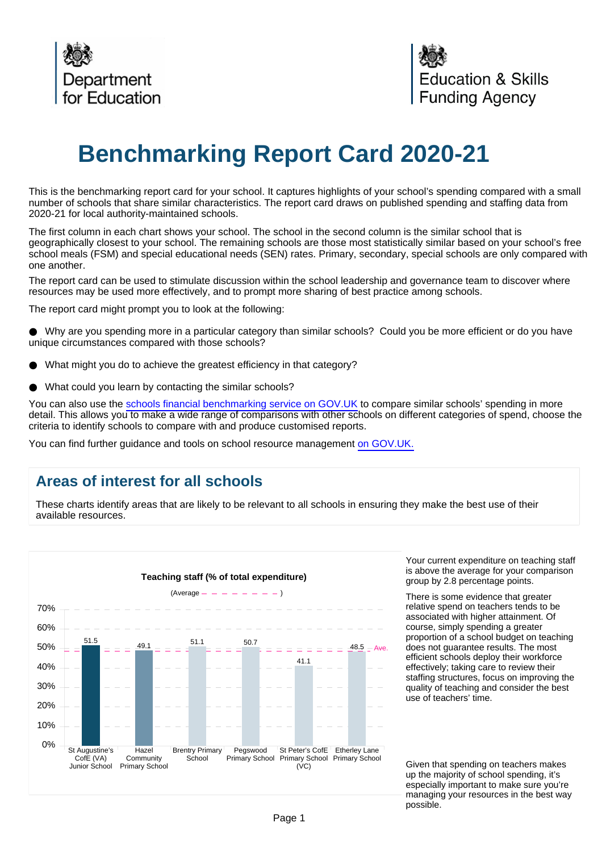

# **Benchmarking Report Card 2020-21**

This is the benchmarking report card for your school. It captures highlights of your school's spending compared with a small number of schools that share similar characteristics. The report card draws on published spending and staffing data from 2020-21 for local authority-maintained schools.

The first column in each chart shows your school. The school in the second column is the similar school that is geographically closest to your school. The remaining schools are those most statistically similar based on your school's free school meals (FSM) and special educational needs (SEN) rates. Primary, secondary, special schools are only compared with one another.

The report card can be used to stimulate discussion within the school leadership and governance team to discover where resources may be used more effectively, and to prompt more sharing of best practice among schools.

The report card might prompt you to look at the following:

Why are you spending more in a particular category than similar schools? Could you be more efficient or do you have unique circumstances compared with those schools?

- What might you do to achieve the greatest efficiency in that category?
- What could you learn by contacting the similar schools?

You can also use the [schools financial benchmarking service on GOV.UK](https://schools-financial-benchmarking.service.gov.uk) to compare similar schools' spending in more detail. This allows you to make a wide range of comparisons with other schools on different categories of spend, choose the criteria to identify schools to compare with and produce customised reports.

You can find further guidance and tools on school resource management [on GOV.UK.](https://www.gov.uk/government/collections/schools-financial-health-and-efficiency)

## **Areas of interest for all schools**

These charts identify areas that are likely to be relevant to all schools in ensuring they make the best use of their available resources.



Your current expenditure on teaching staff is above the average for your comparison group by 2.8 percentage points.

There is some evidence that greater relative spend on teachers tends to be associated with higher attainment. Of course, simply spending a greater proportion of a school budget on teaching does not guarantee results. The most efficient schools deploy their workforce effectively; taking care to review their staffing structures, focus on improving the quality of teaching and consider the best use of teachers' time.

Given that spending on teachers makes up the majority of school spending, it's especially important to make sure you're managing your resources in the best way possible.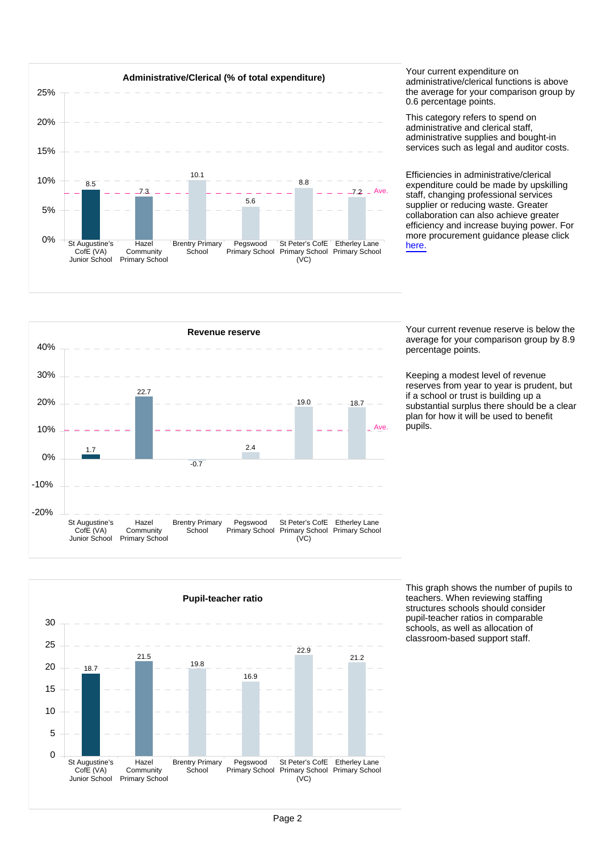

administrative/clerical functions is above the average for your comparison group by 0.6 percentage points.

This category refers to spend on administrative and clerical staff, administrative supplies and bought-in services such as legal and auditor costs.

Efficiencies in administrative/clerical expenditure could be made by upskilling staff, changing professional services supplier or reducing waste. Greater collaboration can also achieve greater efficiency and increase buying power. For more procurement guidance please click [here.](https://www.gov.uk/guidance/buying-for-schools)



average for your comparison group by 8.9 percentage points.

Keeping a modest level of revenue reserves from year to year is prudent, but if a school or trust is building up a substantial surplus there should be a clear plan for how it will be used to benefit .<br>pupils.



This graph shows the number of pupils to teachers. When reviewing staffing structures schools should consider pupil-teacher ratios in comparable schools, as well as allocation of classroom-based support staff.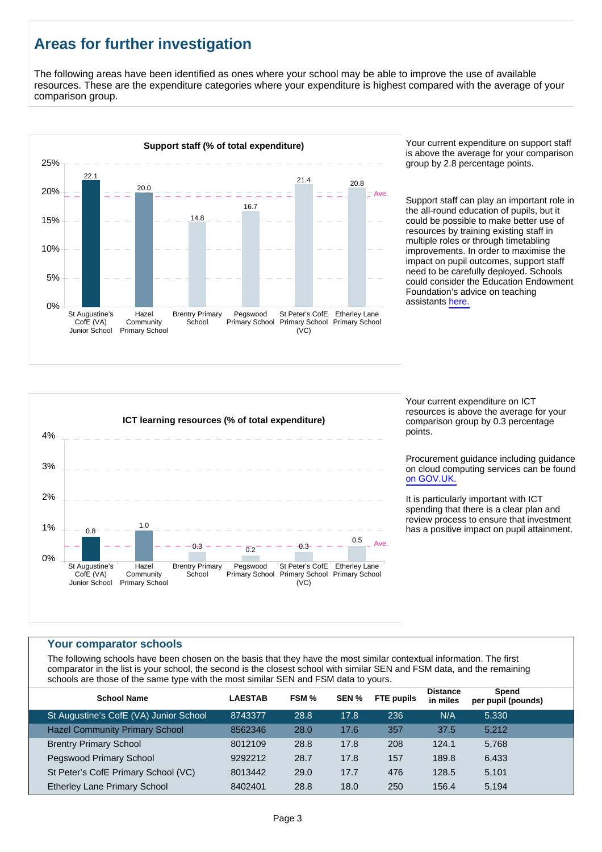# **Areas for further investigation**

The following areas have been identified as ones where your school may be able to improve the use of available resources. These are the expenditure categories where your expenditure is highest compared with the average of your comparison group.



is above the average for your comparison group by 2.8 percentage points.

Support staff can play an important role in the all-round education of pupils, but it could be possible to make better use of resources by training existing staff in multiple roles or through timetabling improvements. In order to maximise the impact on pupil outcomes, support staff need to be carefully deployed. Schools could consider the Education Endowment Foundation's advice on teaching assistants [here.](https://educationendowmentfoundation.org.uk/resources/making-best-use-of-teaching-assistants)



Your current expenditure on ICT resources is above the average for your comparison group by 0.3 percentage points.

Procurement guidance including guidance on cloud computing services can be found [on GOV.UK.](https://www.gov.uk/government/publications/cloud-computing-how-schools-can-move-services-to-the-cloud)

It is particularly important with ICT spending that there is a clear plan and review process to ensure that investment has a positive impact on pupil attainment.

#### **Your comparator schools**

The following schools have been chosen on the basis that they have the most similar contextual information. The first comparator in the list is your school, the second is the closest school with similar SEN and FSM data, and the remaining schools are those of the same type with the most similar SEN and FSM data to yours.

| <b>School Name</b>                     | <b>LAESTAB</b> | FSM % | SEN % | <b>FTE</b> pupils | <b>Distance</b><br>in miles | Spend<br>per pupil (pounds) |  |
|----------------------------------------|----------------|-------|-------|-------------------|-----------------------------|-----------------------------|--|
| St Augustine's CofE (VA) Junior School | 8743377        | 28.8  | 17.8  | 236               | N/A                         | 5.330                       |  |
| <b>Hazel Community Primary School</b>  | 8562346        | 28.0  | 17.6  | 357               | 37.5                        | 5,212                       |  |
| <b>Brentry Primary School</b>          | 8012109        | 28.8  | 17.8  | 208               | 124.1                       | 5,768                       |  |
| Pegswood Primary School                | 9292212        | 28.7  | 17.8  | 157               | 189.8                       | 6,433                       |  |
| St Peter's CofE Primary School (VC)    | 8013442        | 29.0  | 17.7  | 476               | 128.5                       | 5,101                       |  |
| Etherley Lane Primary School           | 8402401        | 28.8  | 18.0  | 250               | 156.4                       | 5,194                       |  |